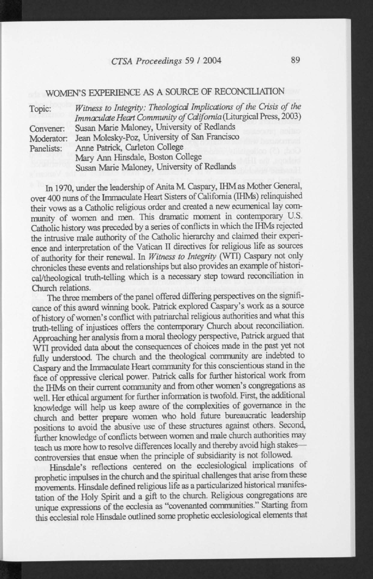## *CTSA Proceedings 59* / 2004 89

## WOMEN'S EXPERIENCE AS A SOURCE OF RECONCILIATION

| Witness to Integrity: Theological Implications of the Crisis of the |
|---------------------------------------------------------------------|
| Immaculate Heart Community of California (Liturgical Press, 2003)   |
| Susan Marie Maloney, University of Redlands                         |
| Jean Molesky-Poz, University of San Francisco                       |
| Anne Patrick, Carleton College                                      |
| Panelists:<br>Mary Ann Hinsdale, Boston College                     |
| Susan Marie Maloney, University of Redlands                         |
|                                                                     |

In 1970, under the leadership of Anita M. Caspary, IHM as Mother General, over 400 nuns of the Immaculate Heart Sisters of California (IHMs) relinquished their vows as a Catholic religious order and created a new ecumenical lay community of women and men. This dramatic moment in contemporary U.S. Catholic history was preceded by a series of conflicts in which the IHMs rejected the intrusive male authority of the Catholic hierarchy and claimed their experience and interpretation of the Vatican II directives for religious life as sources of authority for their renewal. In *Witness to Integrity* (WTI) Caspary not only chronicles these events and relationships but also provides an example of historical/theological truth-telling which is a necessary step toward reconciliation in Church relations.

The three members of the panel offered differing perspectives on the significance of this award winning book Patrick explored Caspary's work as a source of history of women's conflict with patriarchal religious authorities and what this truth-telling of injustices offers the contemporary Church about reconciliation. Approaching her analysis from a moral theology perspective, Patrick argued that WTI provided data about the consequences of choices made in the past yet not fully understood. The church and the theological community are indebted to Caspary and the Immaculate Heart community for this conscientious stand in the face of oppressive clerical power. Patrick calls for further historical work from the IHMs on their current community and from other women's congregations as well. Her ethical argument for further information is twofold. First, the additional knowledge will help us keep aware of the complexities of governance in the church and better prepare women who hold future bureaucratic leadership positions to avoid the abusive use of these structures against others. Second, further knowledge of conflicts between women and male church authorities may teach us more how to resolve differences locally and thereby avoid high stakes controversies that ensue when the principle of subsidiarity is not followed.

Hinsdale's reflections centered on the ecclesiological implications of prophetic impulses in the church and the spiritual challenges that arise from these movements. Hinsdale defined religious life as a particularized historical manifestation of the Holy Spirit and a gift to the church. Religious congregations are unique expressions of the ecclesia as "covenanted communities." Starting from this ecclesial role Hinsdale outlined some prophetic ecclesiological elements that